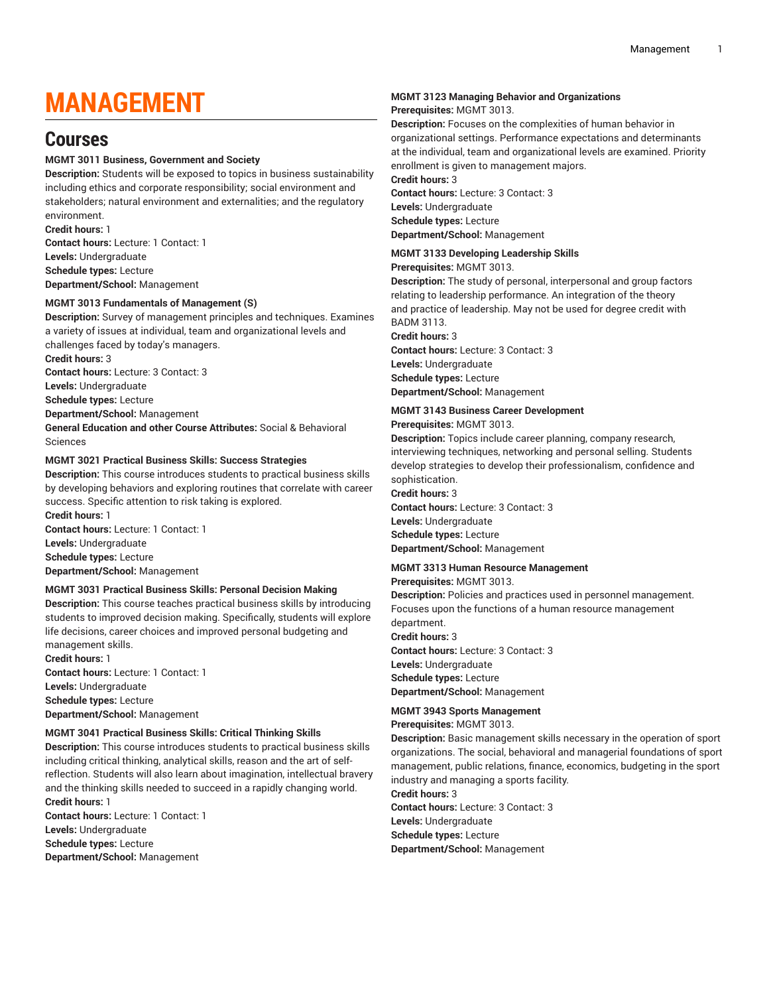# **MANAGEMENT**

## **Courses**

## **MGMT 3011 Business, Government and Society**

**Description:** Students will be exposed to topics in business sustainability including ethics and corporate responsibility; social environment and stakeholders; natural environment and externalities; and the regulatory environment.

**Credit hours:** 1

**Contact hours:** Lecture: 1 Contact: 1 **Levels:** Undergraduate **Schedule types:** Lecture **Department/School:** Management

## **MGMT 3013 Fundamentals of Management (S)**

**Description:** Survey of management principles and techniques. Examines a variety of issues at individual, team and organizational levels and challenges faced by today's managers.

**Credit hours:** 3

**Contact hours:** Lecture: 3 Contact: 3

**Levels:** Undergraduate

**Schedule types:** Lecture

**Department/School:** Management

**General Education and other Course Attributes:** Social & Behavioral Sciences

## **MGMT 3021 Practical Business Skills: Success Strategies**

**Description:** This course introduces students to practical business skills by developing behaviors and exploring routines that correlate with career success. Specific attention to risk taking is explored.

**Credit hours:** 1 **Contact hours:** Lecture: 1 Contact: 1 **Levels:** Undergraduate **Schedule types:** Lecture **Department/School:** Management

## **MGMT 3031 Practical Business Skills: Personal Decision Making**

**Description:** This course teaches practical business skills by introducing students to improved decision making. Specifically, students will explore life decisions, career choices and improved personal budgeting and management skills.

**Credit hours:** 1

**Contact hours:** Lecture: 1 Contact: 1 **Levels:** Undergraduate **Schedule types:** Lecture **Department/School:** Management

## **MGMT 3041 Practical Business Skills: Critical Thinking Skills**

**Description:** This course introduces students to practical business skills including critical thinking, analytical skills, reason and the art of selfreflection. Students will also learn about imagination, intellectual bravery and the thinking skills needed to succeed in a rapidly changing world. **Credit hours:** 1

**Contact hours:** Lecture: 1 Contact: 1 **Levels:** Undergraduate **Schedule types:** Lecture **Department/School:** Management

## **MGMT 3123 Managing Behavior and Organizations**

## **Prerequisites:** MGMT 3013.

**Description:** Focuses on the complexities of human behavior in organizational settings. Performance expectations and determinants at the individual, team and organizational levels are examined. Priority enrollment is given to management majors.

**Credit hours:** 3

**Contact hours:** Lecture: 3 Contact: 3 **Levels:** Undergraduate **Schedule types:** Lecture **Department/School:** Management

## **MGMT 3133 Developing Leadership Skills**

## **Prerequisites:** MGMT 3013.

**Description:** The study of personal, interpersonal and group factors relating to leadership performance. An integration of the theory and practice of leadership. May not be used for degree credit with BADM 3113.

**Credit hours:** 3

**Contact hours:** Lecture: 3 Contact: 3 **Levels:** Undergraduate **Schedule types:** Lecture **Department/School:** Management

## **MGMT 3143 Business Career Development**

**Prerequisites:** MGMT 3013.

**Description:** Topics include career planning, company research, interviewing techniques, networking and personal selling. Students develop strategies to develop their professionalism, confidence and sophistication.

## **Credit hours:** 3

**Contact hours:** Lecture: 3 Contact: 3 **Levels:** Undergraduate **Schedule types:** Lecture **Department/School:** Management

## **MGMT 3313 Human Resource Management**

**Prerequisites:** MGMT 3013.

**Description:** Policies and practices used in personnel management. Focuses upon the functions of a human resource management

department. **Credit hours:** 3 **Contact hours:** Lecture: 3 Contact: 3 **Levels:** Undergraduate **Schedule types:** Lecture **Department/School:** Management

## **MGMT 3943 Sports Management**

**Prerequisites:** MGMT 3013.

**Description:** Basic management skills necessary in the operation of sport organizations. The social, behavioral and managerial foundations of sport management, public relations, finance, economics, budgeting in the sport industry and managing a sports facility.

**Credit hours:** 3 **Contact hours:** Lecture: 3 Contact: 3 **Levels:** Undergraduate **Schedule types:** Lecture **Department/School:** Management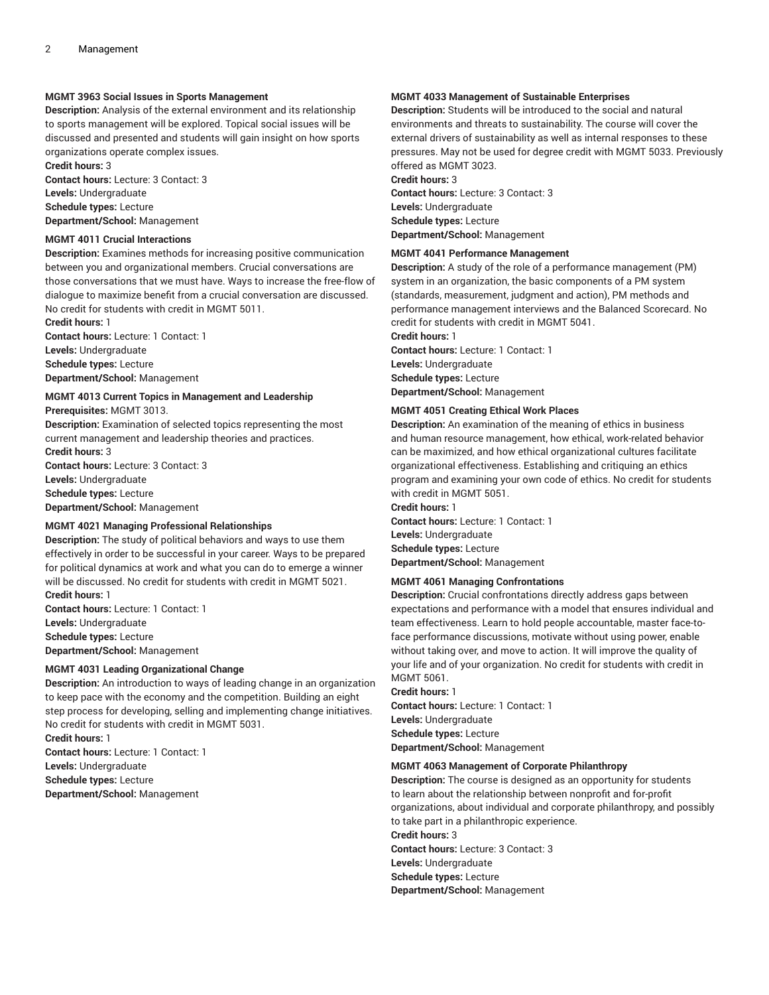## **MGMT 3963 Social Issues in Sports Management**

**Description:** Analysis of the external environment and its relationship to sports management will be explored. Topical social issues will be discussed and presented and students will gain insight on how sports organizations operate complex issues.

**Credit hours:** 3

**Contact hours:** Lecture: 3 Contact: 3 **Levels:** Undergraduate

**Schedule types:** Lecture

**Department/School:** Management

## **MGMT 4011 Crucial Interactions**

**Description:** Examines methods for increasing positive communication between you and organizational members. Crucial conversations are those conversations that we must have. Ways to increase the free-flow of dialogue to maximize benefit from a crucial conversation are discussed. No credit for students with credit in MGMT 5011.

**Credit hours:** 1 **Contact hours:** Lecture: 1 Contact: 1 **Levels:** Undergraduate

**Schedule types:** Lecture

**Department/School:** Management

## **MGMT 4013 Current Topics in Management and Leadership**

**Prerequisites:** MGMT 3013.

**Description:** Examination of selected topics representing the most current management and leadership theories and practices. **Credit hours:** 3

**Contact hours:** Lecture: 3 Contact: 3

**Levels:** Undergraduate

**Schedule types:** Lecture

**Department/School:** Management

## **MGMT 4021 Managing Professional Relationships**

**Description:** The study of political behaviors and ways to use them effectively in order to be successful in your career. Ways to be prepared for political dynamics at work and what you can do to emerge a winner will be discussed. No credit for students with credit in MGMT 5021. **Credit hours:** 1

**Contact hours:** Lecture: 1 Contact: 1 **Levels:** Undergraduate **Schedule types:** Lecture **Department/School:** Management

## **MGMT 4031 Leading Organizational Change**

**Description:** An introduction to ways of leading change in an organization to keep pace with the economy and the competition. Building an eight step process for developing, selling and implementing change initiatives. No credit for students with credit in MGMT 5031.

**Credit hours:** 1 **Contact hours:** Lecture: 1 Contact: 1 **Levels:** Undergraduate **Schedule types:** Lecture **Department/School:** Management

## **MGMT 4033 Management of Sustainable Enterprises**

**Description:** Students will be introduced to the social and natural environments and threats to sustainability. The course will cover the external drivers of sustainability as well as internal responses to these pressures. May not be used for degree credit with MGMT 5033. Previously offered as MGMT 3023. **Credit hours:** 3

**Contact hours:** Lecture: 3 Contact: 3 **Levels:** Undergraduate **Schedule types:** Lecture **Department/School:** Management

## **MGMT 4041 Performance Management**

**Description:** A study of the role of a performance management (PM) system in an organization, the basic components of a PM system (standards, measurement, judgment and action), PM methods and performance management interviews and the Balanced Scorecard. No credit for students with credit in MGMT 5041. **Credit hours:** 1

**Contact hours:** Lecture: 1 Contact: 1 **Levels:** Undergraduate **Schedule types:** Lecture **Department/School:** Management

## **MGMT 4051 Creating Ethical Work Places**

**Description:** An examination of the meaning of ethics in business and human resource management, how ethical, work-related behavior can be maximized, and how ethical organizational cultures facilitate organizational effectiveness. Establishing and critiquing an ethics program and examining your own code of ethics. No credit for students with credit in MGMT 5051.

**Contact hours:** Lecture: 1 Contact: 1 **Levels:** Undergraduate **Schedule types:** Lecture **Department/School:** Management

## **MGMT 4061 Managing Confrontations**

**Description:** Crucial confrontations directly address gaps between expectations and performance with a model that ensures individual and team effectiveness. Learn to hold people accountable, master face-toface performance discussions, motivate without using power, enable without taking over, and move to action. It will improve the quality of your life and of your organization. No credit for students with credit in MGMT 5061.

#### **Credit hours:** 1

**Credit hours:** 1

**Contact hours:** Lecture: 1 Contact: 1 **Levels:** Undergraduate **Schedule types:** Lecture **Department/School:** Management

#### **MGMT 4063 Management of Corporate Philanthropy**

**Description:** The course is designed as an opportunity for students to learn about the relationship between nonprofit and for-profit organizations, about individual and corporate philanthropy, and possibly to take part in a philanthropic experience. **Credit hours:** 3 **Contact hours:** Lecture: 3 Contact: 3 **Levels:** Undergraduate **Schedule types:** Lecture **Department/School:** Management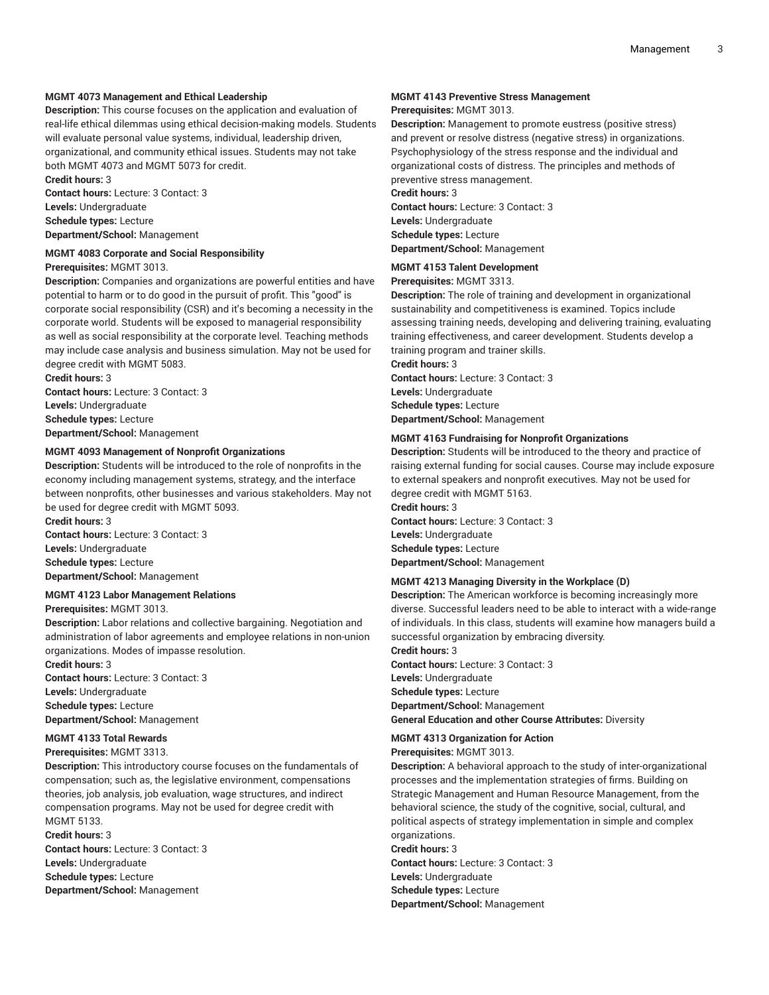## **MGMT 4073 Management and Ethical Leadership**

**Description:** This course focuses on the application and evaluation of real-life ethical dilemmas using ethical decision-making models. Students will evaluate personal value systems, individual, leadership driven, organizational, and community ethical issues. Students may not take both MGMT 4073 and MGMT 5073 for credit. **Credit hours:** 3

**Contact hours:** Lecture: 3 Contact: 3 **Levels:** Undergraduate **Schedule types:** Lecture **Department/School:** Management

#### **MGMT 4083 Corporate and Social Responsibility**

**Prerequisites:** MGMT 3013.

**Description:** Companies and organizations are powerful entities and have potential to harm or to do good in the pursuit of profit. This "good" is corporate social responsibility (CSR) and it's becoming a necessity in the corporate world. Students will be exposed to managerial responsibility as well as social responsibility at the corporate level. Teaching methods may include case analysis and business simulation. May not be used for degree credit with MGMT 5083.

**Credit hours:** 3 **Contact hours:** Lecture: 3 Contact: 3 **Levels:** Undergraduate **Schedule types:** Lecture **Department/School:** Management

#### **MGMT 4093 Management of Nonprofit Organizations**

**Description:** Students will be introduced to the role of nonprofits in the economy including management systems, strategy, and the interface between nonprofits, other businesses and various stakeholders. May not be used for degree credit with MGMT 5093.

**Contact hours:** Lecture: 3 Contact: 3 **Levels:** Undergraduate **Schedule types:** Lecture **Department/School:** Management

#### **MGMT 4123 Labor Management Relations**

**Prerequisites:** MGMT 3013.

**Credit hours:** 3

**Description:** Labor relations and collective bargaining. Negotiation and administration of labor agreements and employee relations in non-union organizations. Modes of impasse resolution. **Credit hours:** 3

**Contact hours:** Lecture: 3 Contact: 3 **Levels:** Undergraduate

**Schedule types:** Lecture **Department/School:** Management

#### **MGMT 4133 Total Rewards**

**Prerequisites:** MGMT 3313.

**Description:** This introductory course focuses on the fundamentals of compensation; such as, the legislative environment, compensations theories, job analysis, job evaluation, wage structures, and indirect compensation programs. May not be used for degree credit with MGMT 5133.

**Credit hours:** 3

**Contact hours:** Lecture: 3 Contact: 3 **Levels:** Undergraduate **Schedule types:** Lecture **Department/School:** Management

## **MGMT 4143 Preventive Stress Management**

#### **Prerequisites:** MGMT 3013.

**Description:** Management to promote eustress (positive stress) and prevent or resolve distress (negative stress) in organizations. Psychophysiology of the stress response and the individual and organizational costs of distress. The principles and methods of preventive stress management.

## **Credit hours:** 3

**Contact hours:** Lecture: 3 Contact: 3 **Levels:** Undergraduate **Schedule types:** Lecture **Department/School:** Management

## **MGMT 4153 Talent Development**

**Prerequisites:** MGMT 3313.

**Description:** The role of training and development in organizational sustainability and competitiveness is examined. Topics include assessing training needs, developing and delivering training, evaluating training effectiveness, and career development. Students develop a training program and trainer skills.

**Credit hours:** 3

**Contact hours:** Lecture: 3 Contact: 3 **Levels:** Undergraduate **Schedule types:** Lecture **Department/School:** Management

#### **MGMT 4163 Fundraising for Nonprofit Organizations**

**Description:** Students will be introduced to the theory and practice of raising external funding for social causes. Course may include exposure to external speakers and nonprofit executives. May not be used for degree credit with MGMT 5163.

**Credit hours:** 3 **Contact hours:** Lecture: 3 Contact: 3 **Levels:** Undergraduate **Schedule types:** Lecture **Department/School:** Management

## **MGMT 4213 Managing Diversity in the Workplace (D)**

**Description:** The American workforce is becoming increasingly more diverse. Successful leaders need to be able to interact with a wide-range of individuals. In this class, students will examine how managers build a successful organization by embracing diversity.

**Credit hours:** 3 **Contact hours:** Lecture: 3 Contact: 3 **Levels:** Undergraduate **Schedule types:** Lecture **Department/School:** Management **General Education and other Course Attributes:** Diversity

**MGMT 4313 Organization for Action**

**Prerequisites:** MGMT 3013.

**Description:** A behavioral approach to the study of inter-organizational processes and the implementation strategies of firms. Building on Strategic Management and Human Resource Management, from the behavioral science, the study of the cognitive, social, cultural, and political aspects of strategy implementation in simple and complex organizations.

**Credit hours:** 3

**Contact hours:** Lecture: 3 Contact: 3 **Levels:** Undergraduate **Schedule types:** Lecture **Department/School:** Management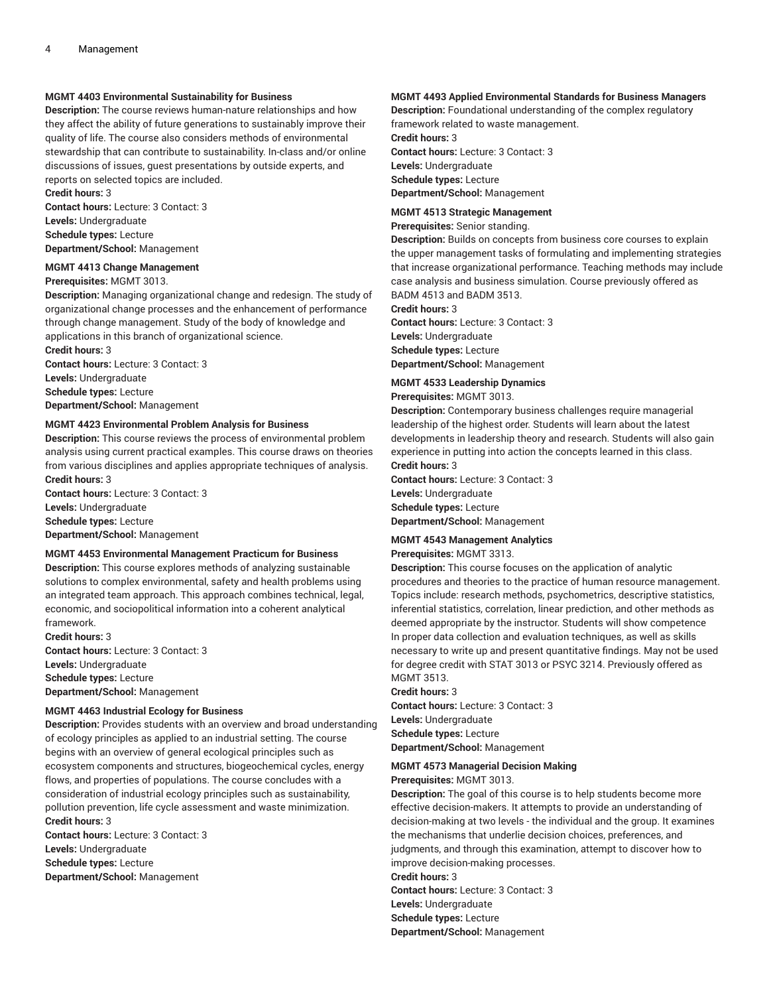## **MGMT 4403 Environmental Sustainability for Business**

**Description:** The course reviews human-nature relationships and how they affect the ability of future generations to sustainably improve their quality of life. The course also considers methods of environmental stewardship that can contribute to sustainability. In-class and/or online discussions of issues, guest presentations by outside experts, and reports on selected topics are included.

**Credit hours:** 3

**Contact hours:** Lecture: 3 Contact: 3 **Levels:** Undergraduate **Schedule types:** Lecture

## **Department/School:** Management

#### **MGMT 4413 Change Management Prerequisites:** MGMT 3013.

**Description:** Managing organizational change and redesign. The study of organizational change processes and the enhancement of performance through change management. Study of the body of knowledge and applications in this branch of organizational science.

**Credit hours:** 3 **Contact hours:** Lecture: 3 Contact: 3 **Levels:** Undergraduate **Schedule types:** Lecture **Department/School:** Management

#### **MGMT 4423 Environmental Problem Analysis for Business**

**Description:** This course reviews the process of environmental problem analysis using current practical examples. This course draws on theories from various disciplines and applies appropriate techniques of analysis. **Credit hours:** 3

**Contact hours:** Lecture: 3 Contact: 3 **Levels:** Undergraduate **Schedule types:** Lecture **Department/School:** Management

#### **MGMT 4453 Environmental Management Practicum for Business**

**Description:** This course explores methods of analyzing sustainable solutions to complex environmental, safety and health problems using an integrated team approach. This approach combines technical, legal, economic, and sociopolitical information into a coherent analytical framework.

**Credit hours:** 3 **Contact hours:** Lecture: 3 Contact: 3 **Levels:** Undergraduate **Schedule types:** Lecture **Department/School:** Management

#### **MGMT 4463 Industrial Ecology for Business**

**Description:** Provides students with an overview and broad understanding of ecology principles as applied to an industrial setting. The course begins with an overview of general ecological principles such as ecosystem components and structures, biogeochemical cycles, energy flows, and properties of populations. The course concludes with a consideration of industrial ecology principles such as sustainability, pollution prevention, life cycle assessment and waste minimization. **Credit hours:** 3

**Contact hours:** Lecture: 3 Contact: 3 **Levels:** Undergraduate **Schedule types:** Lecture **Department/School:** Management

#### **MGMT 4493 Applied Environmental Standards for Business Managers**

**Description:** Foundational understanding of the complex regulatory framework related to waste management. **Credit hours:** 3 **Contact hours:** Lecture: 3 Contact: 3

**Levels:** Undergraduate **Schedule types:** Lecture **Department/School:** Management

#### **MGMT 4513 Strategic Management**

**Prerequisites:** Senior standing.

**Description:** Builds on concepts from business core courses to explain the upper management tasks of formulating and implementing strategies that increase organizational performance. Teaching methods may include case analysis and business simulation. Course previously offered as BADM 4513 and BADM 3513.

**Credit hours:** 3

**Contact hours:** Lecture: 3 Contact: 3 **Levels:** Undergraduate **Schedule types:** Lecture **Department/School:** Management

## **MGMT 4533 Leadership Dynamics**

**Prerequisites:** MGMT 3013.

**Description:** Contemporary business challenges require managerial leadership of the highest order. Students will learn about the latest developments in leadership theory and research. Students will also gain experience in putting into action the concepts learned in this class. **Credit hours:** 3

**Contact hours:** Lecture: 3 Contact: 3 **Levels:** Undergraduate **Schedule types:** Lecture **Department/School:** Management

#### **MGMT 4543 Management Analytics**

**Prerequisites:** MGMT 3313.

**Description:** This course focuses on the application of analytic procedures and theories to the practice of human resource management. Topics include: research methods, psychometrics, descriptive statistics, inferential statistics, correlation, linear prediction, and other methods as deemed appropriate by the instructor. Students will show competence In proper data collection and evaluation techniques, as well as skills necessary to write up and present quantitative findings. May not be used for degree credit with STAT 3013 or PSYC 3214. Previously offered as MGMT 3513.

#### **Credit hours:** 3

**Contact hours:** Lecture: 3 Contact: 3 **Levels:** Undergraduate **Schedule types:** Lecture **Department/School:** Management

## **MGMT 4573 Managerial Decision Making**

**Prerequisites:** MGMT 3013.

**Description:** The goal of this course is to help students become more effective decision-makers. It attempts to provide an understanding of decision-making at two levels - the individual and the group. It examines the mechanisms that underlie decision choices, preferences, and judgments, and through this examination, attempt to discover how to improve decision-making processes.

**Credit hours:** 3

**Contact hours:** Lecture: 3 Contact: 3 **Levels:** Undergraduate **Schedule types:** Lecture **Department/School:** Management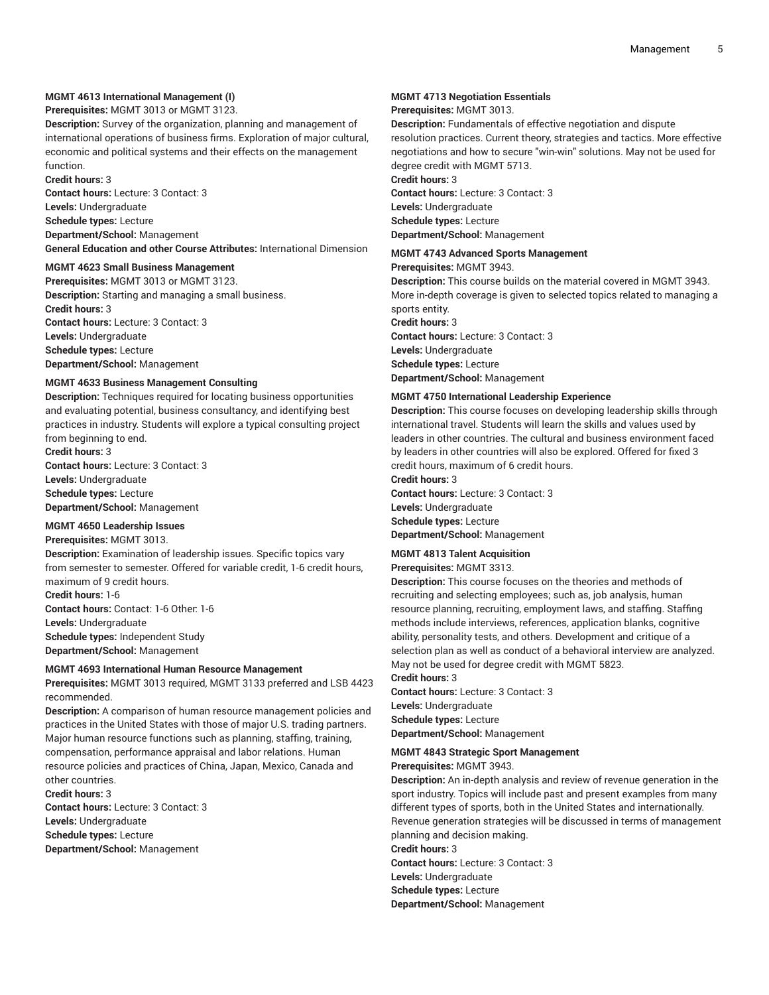## **MGMT 4613 International Management (I)**

**Prerequisites:** MGMT 3013 or MGMT 3123.

**Description:** Survey of the organization, planning and management of international operations of business firms. Exploration of major cultural, economic and political systems and their effects on the management function.

**Credit hours:** 3

**Contact hours:** Lecture: 3 Contact: 3 **Levels:** Undergraduate **Schedule types:** Lecture **Department/School:** Management

**General Education and other Course Attributes:** International Dimension

## **MGMT 4623 Small Business Management**

**Prerequisites:** MGMT 3013 or MGMT 3123. **Description:** Starting and managing a small business. **Credit hours:** 3 **Contact hours:** Lecture: 3 Contact: 3 **Levels:** Undergraduate **Schedule types:** Lecture **Department/School:** Management

#### **MGMT 4633 Business Management Consulting**

**Description:** Techniques required for locating business opportunities and evaluating potential, business consultancy, and identifying best practices in industry. Students will explore a typical consulting project from beginning to end.

**Credit hours:** 3 **Contact hours:** Lecture: 3 Contact: 3 **Levels:** Undergraduate **Schedule types:** Lecture **Department/School:** Management

## **MGMT 4650 Leadership Issues**

**Prerequisites:** MGMT 3013.

**Description:** Examination of leadership issues. Specific topics vary from semester to semester. Offered for variable credit, 1-6 credit hours, maximum of 9 credit hours.

**Credit hours:** 1-6 **Contact hours:** Contact: 1-6 Other: 1-6 **Levels:** Undergraduate **Schedule types:** Independent Study **Department/School:** Management

#### **MGMT 4693 International Human Resource Management**

**Prerequisites:** MGMT 3013 required, MGMT 3133 preferred and LSB 4423 recommended.

**Description:** A comparison of human resource management policies and practices in the United States with those of major U.S. trading partners. Major human resource functions such as planning, staffing, training, compensation, performance appraisal and labor relations. Human resource policies and practices of China, Japan, Mexico, Canada and other countries.

**Credit hours:** 3 **Contact hours:** Lecture: 3 Contact: 3 **Levels:** Undergraduate **Schedule types:** Lecture **Department/School:** Management

#### **MGMT 4713 Negotiation Essentials**

#### **Prerequisites:** MGMT 3013.

**Description:** Fundamentals of effective negotiation and dispute resolution practices. Current theory, strategies and tactics. More effective negotiations and how to secure "win-win" solutions. May not be used for degree credit with MGMT 5713.

**Credit hours:** 3

**Contact hours:** Lecture: 3 Contact: 3 **Levels:** Undergraduate **Schedule types:** Lecture **Department/School:** Management

## **MGMT 4743 Advanced Sports Management**

#### **Prerequisites:** MGMT 3943.

**Description:** This course builds on the material covered in MGMT 3943. More in-depth coverage is given to selected topics related to managing a sports entity.

**Credit hours:** 3

**Contact hours:** Lecture: 3 Contact: 3 **Levels:** Undergraduate **Schedule types:** Lecture **Department/School:** Management

#### **MGMT 4750 International Leadership Experience**

**Description:** This course focuses on developing leadership skills through international travel. Students will learn the skills and values used by leaders in other countries. The cultural and business environment faced by leaders in other countries will also be explored. Offered for fixed 3 credit hours, maximum of 6 credit hours.

**Credit hours:** 3 **Contact hours:** Lecture: 3 Contact: 3 **Levels:** Undergraduate **Schedule types:** Lecture **Department/School:** Management

#### **MGMT 4813 Talent Acquisition**

**Prerequisites:** MGMT 3313.

**Description:** This course focuses on the theories and methods of recruiting and selecting employees; such as, job analysis, human resource planning, recruiting, employment laws, and staffing. Staffing methods include interviews, references, application blanks, cognitive ability, personality tests, and others. Development and critique of a selection plan as well as conduct of a behavioral interview are analyzed. May not be used for degree credit with MGMT 5823. **Credit hours:** 3

**Contact hours:** Lecture: 3 Contact: 3 **Levels:** Undergraduate **Schedule types:** Lecture **Department/School:** Management

#### **MGMT 4843 Strategic Sport Management**

#### **Prerequisites:** MGMT 3943.

**Description:** An in-depth analysis and review of revenue generation in the sport industry. Topics will include past and present examples from many different types of sports, both in the United States and internationally. Revenue generation strategies will be discussed in terms of management planning and decision making. **Credit hours:** 3

**Contact hours:** Lecture: 3 Contact: 3

**Levels:** Undergraduate

**Schedule types:** Lecture

**Department/School:** Management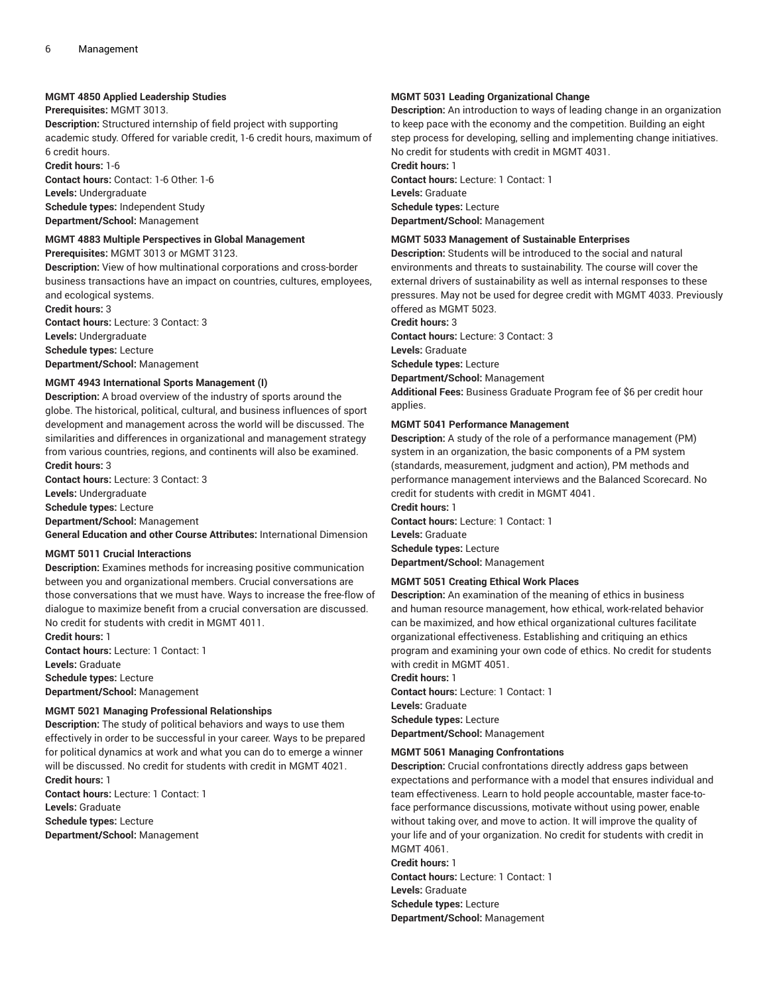#### **MGMT 4850 Applied Leadership Studies**

**Prerequisites:** MGMT 3013.

**Description:** Structured internship of field project with supporting academic study. Offered for variable credit, 1-6 credit hours, maximum of 6 credit hours.

**Credit hours:** 1-6

**Contact hours:** Contact: 1-6 Other: 1-6

**Levels:** Undergraduate **Schedule types:** Independent Study **Department/School:** Management

## **MGMT 4883 Multiple Perspectives in Global Management**

**Prerequisites:** MGMT 3013 or MGMT 3123.

**Description:** View of how multinational corporations and cross-border business transactions have an impact on countries, cultures, employees, and ecological systems.

**Credit hours:** 3 **Contact hours:** Lecture: 3 Contact: 3 **Levels:** Undergraduate **Schedule types:** Lecture **Department/School:** Management

#### **MGMT 4943 International Sports Management (I)**

**Description:** A broad overview of the industry of sports around the globe. The historical, political, cultural, and business influences of sport development and management across the world will be discussed. The similarities and differences in organizational and management strategy from various countries, regions, and continents will also be examined. **Credit hours:** 3

**Contact hours:** Lecture: 3 Contact: 3 **Levels:** Undergraduate

**Schedule types:** Lecture

**Department/School:** Management

**General Education and other Course Attributes:** International Dimension

#### **MGMT 5011 Crucial Interactions**

**Description:** Examines methods for increasing positive communication between you and organizational members. Crucial conversations are those conversations that we must have. Ways to increase the free-flow of dialogue to maximize benefit from a crucial conversation are discussed. No credit for students with credit in MGMT 4011.

**Credit hours:** 1 **Contact hours:** Lecture: 1 Contact: 1 **Levels:** Graduate **Schedule types:** Lecture **Department/School:** Management

#### **MGMT 5021 Managing Professional Relationships**

**Description:** The study of political behaviors and ways to use them effectively in order to be successful in your career. Ways to be prepared for political dynamics at work and what you can do to emerge a winner will be discussed. No credit for students with credit in MGMT 4021. **Credit hours:** 1 **Contact hours:** Lecture: 1 Contact: 1

**Levels:** Graduate

**Schedule types:** Lecture

**Department/School:** Management

## **MGMT 5031 Leading Organizational Change**

**Description:** An introduction to ways of leading change in an organization to keep pace with the economy and the competition. Building an eight step process for developing, selling and implementing change initiatives. No credit for students with credit in MGMT 4031.

**Credit hours:** 1 **Contact hours:** Lecture: 1 Contact: 1 **Levels:** Graduate **Schedule types:** Lecture **Department/School:** Management

## **MGMT 5033 Management of Sustainable Enterprises**

**Description:** Students will be introduced to the social and natural environments and threats to sustainability. The course will cover the external drivers of sustainability as well as internal responses to these pressures. May not be used for degree credit with MGMT 4033. Previously offered as MGMT 5023.

**Credit hours:** 3

**Contact hours:** Lecture: 3 Contact: 3 **Levels:** Graduate

**Schedule types:** Lecture

**Department/School:** Management

**Additional Fees:** Business Graduate Program fee of \$6 per credit hour applies.

#### **MGMT 5041 Performance Management**

**Description:** A study of the role of a performance management (PM) system in an organization, the basic components of a PM system (standards, measurement, judgment and action), PM methods and performance management interviews and the Balanced Scorecard. No credit for students with credit in MGMT 4041.

**Credit hours:** 1 **Contact hours:** Lecture: 1 Contact: 1 **Levels:** Graduate **Schedule types:** Lecture **Department/School:** Management

#### **MGMT 5051 Creating Ethical Work Places**

**Description:** An examination of the meaning of ethics in business and human resource management, how ethical, work-related behavior can be maximized, and how ethical organizational cultures facilitate organizational effectiveness. Establishing and critiquing an ethics program and examining your own code of ethics. No credit for students with credit in MGMT 4051.

**Credit hours:** 1

**Contact hours:** Lecture: 1 Contact: 1 **Levels:** Graduate **Schedule types:** Lecture **Department/School:** Management

#### **MGMT 5061 Managing Confrontations**

**Description:** Crucial confrontations directly address gaps between expectations and performance with a model that ensures individual and team effectiveness. Learn to hold people accountable, master face-toface performance discussions, motivate without using power, enable without taking over, and move to action. It will improve the quality of your life and of your organization. No credit for students with credit in MGMT 4061.

**Credit hours:** 1

**Contact hours:** Lecture: 1 Contact: 1 **Levels:** Graduate **Schedule types:** Lecture **Department/School:** Management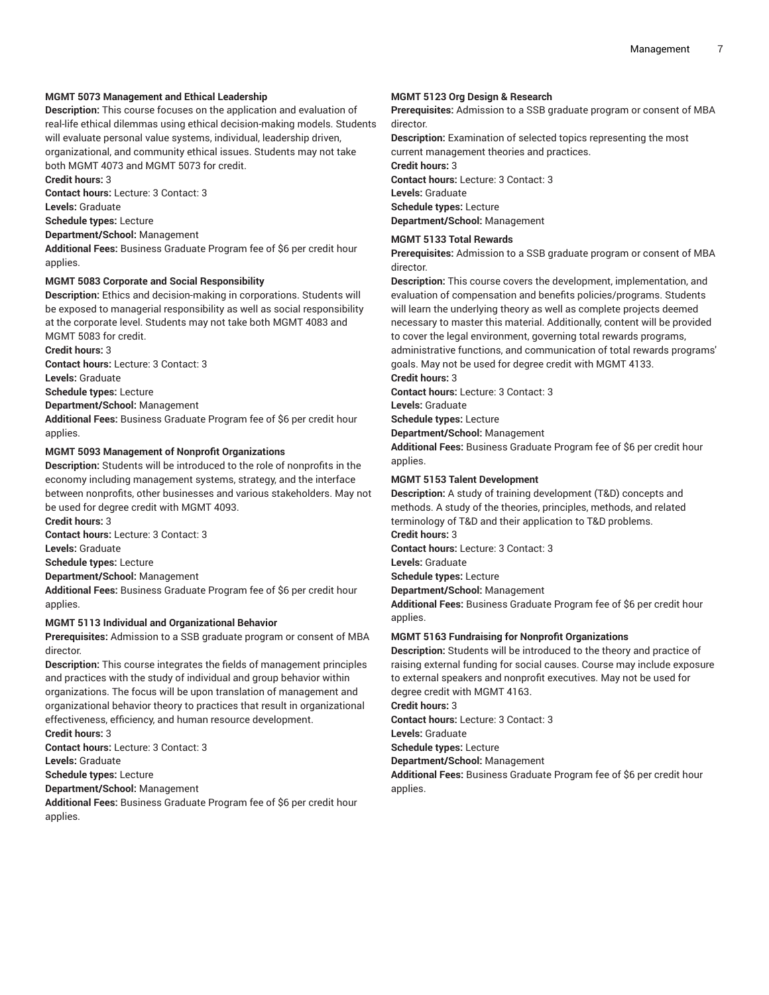## **MGMT 5073 Management and Ethical Leadership**

**Description:** This course focuses on the application and evaluation of real-life ethical dilemmas using ethical decision-making models. Students will evaluate personal value systems, individual, leadership driven, organizational, and community ethical issues. Students may not take both MGMT 4073 and MGMT 5073 for credit. **Credit hours:** 3

**Contact hours:** Lecture: 3 Contact: 3

**Levels:** Graduate

**Schedule types:** Lecture

**Department/School:** Management

**Additional Fees:** Business Graduate Program fee of \$6 per credit hour applies.

#### **MGMT 5083 Corporate and Social Responsibility**

**Description:** Ethics and decision-making in corporations. Students will be exposed to managerial responsibility as well as social responsibility at the corporate level. Students may not take both MGMT 4083 and MGMT 5083 for credit.

**Credit hours:** 3

**Contact hours:** Lecture: 3 Contact: 3

**Levels:** Graduate

**Schedule types:** Lecture

**Department/School:** Management

**Additional Fees:** Business Graduate Program fee of \$6 per credit hour applies.

#### **MGMT 5093 Management of Nonprofit Organizations**

**Description:** Students will be introduced to the role of nonprofits in the economy including management systems, strategy, and the interface between nonprofits, other businesses and various stakeholders. May not be used for degree credit with MGMT 4093.

**Credit hours:** 3

**Contact hours:** Lecture: 3 Contact: 3

**Levels:** Graduate

**Schedule types:** Lecture

**Department/School:** Management

**Additional Fees:** Business Graduate Program fee of \$6 per credit hour applies.

#### **MGMT 5113 Individual and Organizational Behavior**

**Prerequisites:** Admission to a SSB graduate program or consent of MBA director.

**Description:** This course integrates the fields of management principles and practices with the study of individual and group behavior within organizations. The focus will be upon translation of management and organizational behavior theory to practices that result in organizational effectiveness, efficiency, and human resource development.

**Credit hours:** 3

**Contact hours:** Lecture: 3 Contact: 3

**Levels:** Graduate

**Schedule types:** Lecture

**Department/School:** Management

**Additional Fees:** Business Graduate Program fee of \$6 per credit hour applies.

## **MGMT 5123 Org Design & Research**

**Prerequisites:** Admission to a SSB graduate program or consent of MBA director.

**Description:** Examination of selected topics representing the most current management theories and practices.

**Credit hours:** 3 **Contact hours:** Lecture: 3 Contact: 3 **Levels:** Graduate **Schedule types:** Lecture

**Department/School:** Management

#### **MGMT 5133 Total Rewards**

**Prerequisites:** Admission to a SSB graduate program or consent of MBA director.

**Description:** This course covers the development, implementation, and evaluation of compensation and benefits policies/programs. Students will learn the underlying theory as well as complete projects deemed necessary to master this material. Additionally, content will be provided to cover the legal environment, governing total rewards programs, administrative functions, and communication of total rewards programs' goals. May not be used for degree credit with MGMT 4133.

**Credit hours:** 3

**Contact hours:** Lecture: 3 Contact: 3

**Levels:** Graduate

**Schedule types:** Lecture

**Department/School:** Management

**Additional Fees:** Business Graduate Program fee of \$6 per credit hour applies.

#### **MGMT 5153 Talent Development**

**Description:** A study of training development (T&D) concepts and methods. A study of the theories, principles, methods, and related terminology of T&D and their application to T&D problems.

**Credit hours:** 3

**Contact hours:** Lecture: 3 Contact: 3

**Levels:** Graduate

**Schedule types:** Lecture

**Department/School:** Management

**Additional Fees:** Business Graduate Program fee of \$6 per credit hour applies.

#### **MGMT 5163 Fundraising for Nonprofit Organizations**

**Description:** Students will be introduced to the theory and practice of raising external funding for social causes. Course may include exposure to external speakers and nonprofit executives. May not be used for degree credit with MGMT 4163.

**Credit hours:** 3

**Contact hours:** Lecture: 3 Contact: 3

**Levels:** Graduate

**Schedule types:** Lecture

**Department/School:** Management

**Additional Fees:** Business Graduate Program fee of \$6 per credit hour applies.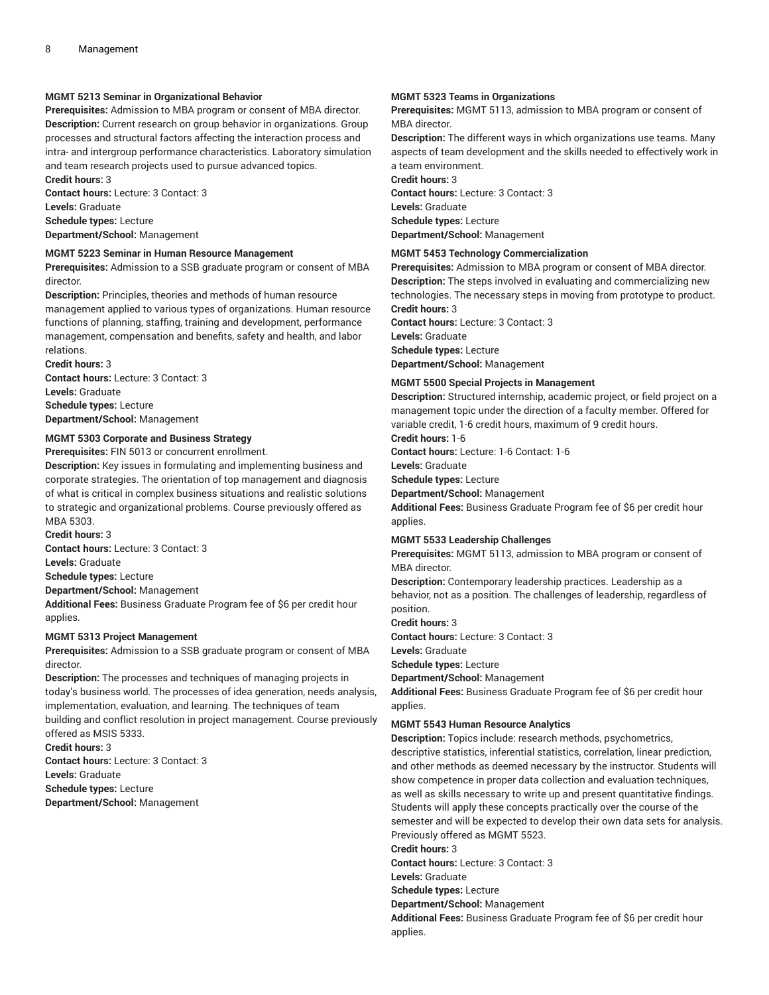## **MGMT 5213 Seminar in Organizational Behavior**

**Prerequisites:** Admission to MBA program or consent of MBA director. **Description:** Current research on group behavior in organizations. Group processes and structural factors affecting the interaction process and intra- and intergroup performance characteristics. Laboratory simulation and team research projects used to pursue advanced topics. **Credit hours:** 3

**Contact hours:** Lecture: 3 Contact: 3 **Levels:** Graduate **Schedule types:** Lecture **Department/School:** Management

#### **MGMT 5223 Seminar in Human Resource Management**

**Prerequisites:** Admission to a SSB graduate program or consent of MBA director.

**Description:** Principles, theories and methods of human resource management applied to various types of organizations. Human resource functions of planning, staffing, training and development, performance management, compensation and benefits, safety and health, and labor relations.

**Credit hours:** 3 **Contact hours:** Lecture: 3 Contact: 3 **Levels:** Graduate **Schedule types:** Lecture **Department/School:** Management

## **MGMT 5303 Corporate and Business Strategy**

**Prerequisites:** FIN 5013 or concurrent enrollment.

**Description:** Key issues in formulating and implementing business and corporate strategies. The orientation of top management and diagnosis of what is critical in complex business situations and realistic solutions to strategic and organizational problems. Course previously offered as MBA 5303.

**Credit hours:** 3

**Contact hours:** Lecture: 3 Contact: 3

**Levels:** Graduate

**Schedule types:** Lecture

**Department/School:** Management

**Additional Fees:** Business Graduate Program fee of \$6 per credit hour applies.

#### **MGMT 5313 Project Management**

**Prerequisites:** Admission to a SSB graduate program or consent of MBA director.

**Description:** The processes and techniques of managing projects in today's business world. The processes of idea generation, needs analysis, implementation, evaluation, and learning. The techniques of team building and conflict resolution in project management. Course previously offered as MSIS 5333.

**Credit hours:** 3

**Contact hours:** Lecture: 3 Contact: 3 **Levels:** Graduate **Schedule types:** Lecture **Department/School:** Management

#### **MGMT 5323 Teams in Organizations**

**Prerequisites:** MGMT 5113, admission to MBA program or consent of MBA director.

**Description:** The different ways in which organizations use teams. Many aspects of team development and the skills needed to effectively work in a team environment.

**Credit hours:** 3 **Contact hours:** Lecture: 3 Contact: 3 **Levels:** Graduate **Schedule types:** Lecture **Department/School:** Management

#### **MGMT 5453 Technology Commercialization**

**Prerequisites:** Admission to MBA program or consent of MBA director. **Description:** The steps involved in evaluating and commercializing new technologies. The necessary steps in moving from prototype to product. **Credit hours:** 3

**Contact hours:** Lecture: 3 Contact: 3 **Levels:** Graduate **Schedule types:** Lecture **Department/School:** Management

#### **MGMT 5500 Special Projects in Management**

**Description:** Structured internship, academic project, or field project on a management topic under the direction of a faculty member. Offered for variable credit, 1-6 credit hours, maximum of 9 credit hours.

**Credit hours:** 1-6

**Contact hours:** Lecture: 1-6 Contact: 1-6

**Levels:** Graduate

**Schedule types:** Lecture

**Department/School:** Management

**Additional Fees:** Business Graduate Program fee of \$6 per credit hour applies.

#### **MGMT 5533 Leadership Challenges**

**Prerequisites:** MGMT 5113, admission to MBA program or consent of MBA director.

**Description:** Contemporary leadership practices. Leadership as a behavior, not as a position. The challenges of leadership, regardless of position.

**Credit hours:** 3

**Contact hours:** Lecture: 3 Contact: 3

**Levels:** Graduate

**Schedule types:** Lecture

**Department/School:** Management

**Additional Fees:** Business Graduate Program fee of \$6 per credit hour applies.

#### **MGMT 5543 Human Resource Analytics**

**Description:** Topics include: research methods, psychometrics, descriptive statistics, inferential statistics, correlation, linear prediction, and other methods as deemed necessary by the instructor. Students will show competence in proper data collection and evaluation techniques, as well as skills necessary to write up and present quantitative findings. Students will apply these concepts practically over the course of the semester and will be expected to develop their own data sets for analysis. Previously offered as MGMT 5523.

**Credit hours:** 3

**Contact hours:** Lecture: 3 Contact: 3

**Levels:** Graduate

**Schedule types:** Lecture

**Department/School:** Management

**Additional Fees:** Business Graduate Program fee of \$6 per credit hour applies.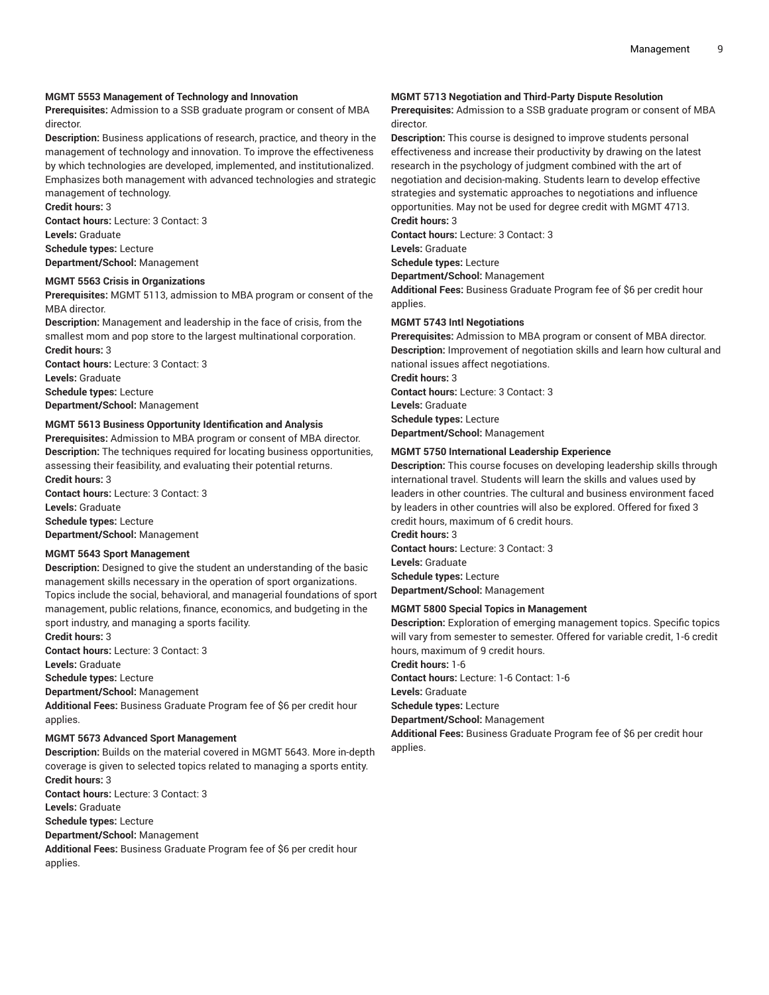## **MGMT 5553 Management of Technology and Innovation**

**Prerequisites:** Admission to a SSB graduate program or consent of MBA director.

**Description:** Business applications of research, practice, and theory in the management of technology and innovation. To improve the effectiveness by which technologies are developed, implemented, and institutionalized. Emphasizes both management with advanced technologies and strategic

management of technology.

**Credit hours:** 3 **Contact hours:** Lecture: 3 Contact: 3 **Levels:** Graduate **Schedule types:** Lecture **Department/School:** Management

#### **MGMT 5563 Crisis in Organizations**

**Prerequisites:** MGMT 5113, admission to MBA program or consent of the MBA director.

**Description:** Management and leadership in the face of crisis, from the smallest mom and pop store to the largest multinational corporation.

**Credit hours:** 3 **Contact hours:** Lecture: 3 Contact: 3 **Levels:** Graduate **Schedule types:** Lecture **Department/School:** Management

#### **MGMT 5613 Business Opportunity Identification and Analysis**

**Prerequisites:** Admission to MBA program or consent of MBA director. **Description:** The techniques required for locating business opportunities, assessing their feasibility, and evaluating their potential returns. **Credit hours:** 3

**Contact hours:** Lecture: 3 Contact: 3 **Levels:** Graduate **Schedule types:** Lecture **Department/School:** Management

#### **MGMT 5643 Sport Management**

**Description:** Designed to give the student an understanding of the basic management skills necessary in the operation of sport organizations. Topics include the social, behavioral, and managerial foundations of sport management, public relations, finance, economics, and budgeting in the sport industry, and managing a sports facility.

**Credit hours:** 3 **Contact hours:** Lecture: 3 Contact: 3

**Levels:** Graduate

**Schedule types:** Lecture

**Department/School:** Management

**Additional Fees:** Business Graduate Program fee of \$6 per credit hour applies.

#### **MGMT 5673 Advanced Sport Management**

**Description:** Builds on the material covered in MGMT 5643. More in-depth coverage is given to selected topics related to managing a sports entity. **Credit hours:** 3 **Contact hours:** Lecture: 3 Contact: 3 **Levels:** Graduate **Schedule types:** Lecture

**Department/School:** Management

**Additional Fees:** Business Graduate Program fee of \$6 per credit hour applies.

## **MGMT 5713 Negotiation and Third-Party Dispute Resolution**

**Prerequisites:** Admission to a SSB graduate program or consent of MBA director.

**Description:** This course is designed to improve students personal effectiveness and increase their productivity by drawing on the latest research in the psychology of judgment combined with the art of negotiation and decision-making. Students learn to develop effective strategies and systematic approaches to negotiations and influence opportunities. May not be used for degree credit with MGMT 4713. **Credit hours:** 3

**Contact hours:** Lecture: 3 Contact: 3

**Levels:** Graduate

**Schedule types:** Lecture

**Department/School:** Management

**Additional Fees:** Business Graduate Program fee of \$6 per credit hour applies.

#### **MGMT 5743 Intl Negotiations**

**Prerequisites:** Admission to MBA program or consent of MBA director. **Description:** Improvement of negotiation skills and learn how cultural and national issues affect negotiations.

**Credit hours:** 3 **Contact hours:** Lecture: 3 Contact: 3

**Levels:** Graduate

**Schedule types:** Lecture

**Department/School:** Management

#### **MGMT 5750 International Leadership Experience**

**Description:** This course focuses on developing leadership skills through international travel. Students will learn the skills and values used by leaders in other countries. The cultural and business environment faced by leaders in other countries will also be explored. Offered for fixed 3 credit hours, maximum of 6 credit hours. **Credit hours:** 3

**Contact hours:** Lecture: 3 Contact: 3 **Levels:** Graduate **Schedule types:** Lecture **Department/School:** Management

#### **MGMT 5800 Special Topics in Management**

**Description:** Exploration of emerging management topics. Specific topics will vary from semester to semester. Offered for variable credit, 1-6 credit hours, maximum of 9 credit hours.

**Credit hours:** 1-6

**Contact hours:** Lecture: 1-6 Contact: 1-6

**Levels:** Graduate

**Schedule types:** Lecture

**Department/School:** Management

**Additional Fees:** Business Graduate Program fee of \$6 per credit hour applies.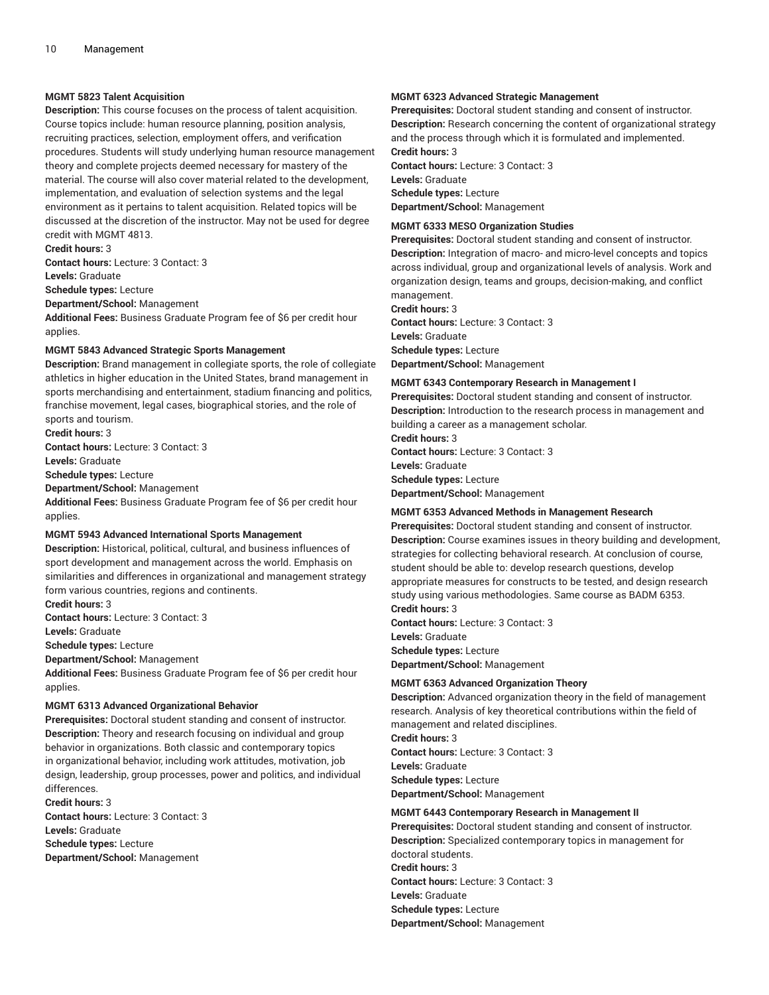### **MGMT 5823 Talent Acquisition**

**Description:** This course focuses on the process of talent acquisition. Course topics include: human resource planning, position analysis, recruiting practices, selection, employment offers, and verification procedures. Students will study underlying human resource management theory and complete projects deemed necessary for mastery of the material. The course will also cover material related to the development, implementation, and evaluation of selection systems and the legal environment as it pertains to talent acquisition. Related topics will be discussed at the discretion of the instructor. May not be used for degree credit with MGMT 4813.

**Credit hours:** 3

**Contact hours:** Lecture: 3 Contact: 3 **Levels:** Graduate

**Schedule types:** Lecture

**Department/School:** Management

**Additional Fees:** Business Graduate Program fee of \$6 per credit hour applies.

#### **MGMT 5843 Advanced Strategic Sports Management**

**Description:** Brand management in collegiate sports, the role of collegiate athletics in higher education in the United States, brand management in sports merchandising and entertainment, stadium financing and politics, franchise movement, legal cases, biographical stories, and the role of sports and tourism.

**Credit hours:** 3

**Contact hours:** Lecture: 3 Contact: 3

**Levels:** Graduate

**Schedule types:** Lecture

**Department/School:** Management

**Additional Fees:** Business Graduate Program fee of \$6 per credit hour applies.

#### **MGMT 5943 Advanced International Sports Management**

**Description:** Historical, political, cultural, and business influences of sport development and management across the world. Emphasis on similarities and differences in organizational and management strategy form various countries, regions and continents. **Credit hours:** 3

**Contact hours:** Lecture: 3 Contact: 3

**Levels:** Graduate

**Schedule types:** Lecture

**Department/School:** Management

**Additional Fees:** Business Graduate Program fee of \$6 per credit hour applies.

#### **MGMT 6313 Advanced Organizational Behavior**

**Prerequisites:** Doctoral student standing and consent of instructor. **Description:** Theory and research focusing on individual and group behavior in organizations. Both classic and contemporary topics in organizational behavior, including work attitudes, motivation, job design, leadership, group processes, power and politics, and individual differences.

**Credit hours:** 3 **Contact hours:** Lecture: 3 Contact: 3 **Levels:** Graduate **Schedule types:** Lecture **Department/School:** Management

#### **MGMT 6323 Advanced Strategic Management**

**Prerequisites:** Doctoral student standing and consent of instructor. **Description:** Research concerning the content of organizational strategy and the process through which it is formulated and implemented. **Credit hours:** 3

**Contact hours:** Lecture: 3 Contact: 3 **Levels:** Graduate **Schedule types:** Lecture **Department/School:** Management

#### **MGMT 6333 MESO Organization Studies**

**Prerequisites:** Doctoral student standing and consent of instructor. **Description:** Integration of macro- and micro-level concepts and topics across individual, group and organizational levels of analysis. Work and organization design, teams and groups, decision-making, and conflict management.

**Credit hours:** 3

**Contact hours:** Lecture: 3 Contact: 3 **Levels:** Graduate **Schedule types:** Lecture **Department/School:** Management

#### **MGMT 6343 Contemporary Research in Management I**

**Prerequisites:** Doctoral student standing and consent of instructor. **Description:** Introduction to the research process in management and building a career as a management scholar.

**Credit hours:** 3 **Contact hours:** Lecture: 3 Contact: 3 **Levels:** Graduate **Schedule types:** Lecture **Department/School:** Management

#### **MGMT 6353 Advanced Methods in Management Research**

**Prerequisites:** Doctoral student standing and consent of instructor. **Description:** Course examines issues in theory building and development, strategies for collecting behavioral research. At conclusion of course, student should be able to: develop research questions, develop appropriate measures for constructs to be tested, and design research study using various methodologies. Same course as BADM 6353. **Credit hours:** 3

**Contact hours:** Lecture: 3 Contact: 3 **Levels:** Graduate **Schedule types:** Lecture **Department/School:** Management

#### **MGMT 6363 Advanced Organization Theory**

**Description:** Advanced organization theory in the field of management research. Analysis of key theoretical contributions within the field of management and related disciplines. **Credit hours:** 3 **Contact hours:** Lecture: 3 Contact: 3 **Levels:** Graduate **Schedule types:** Lecture

**Department/School:** Management

#### **MGMT 6443 Contemporary Research in Management II**

**Prerequisites:** Doctoral student standing and consent of instructor. **Description:** Specialized contemporary topics in management for doctoral students. **Credit hours:** 3 **Contact hours:** Lecture: 3 Contact: 3 **Levels:** Graduate **Schedule types:** Lecture **Department/School:** Management